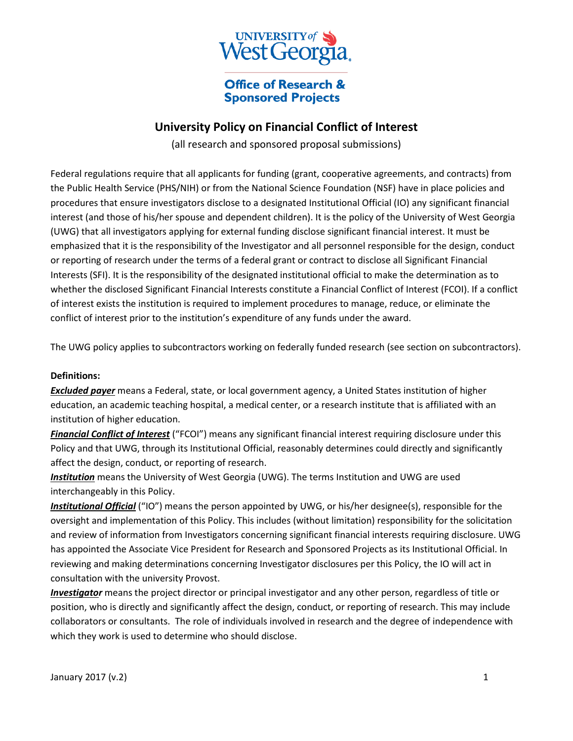

# **Office of Research & Sponsored Projects**

## **University Policy on Financial Conflict of Interest**

(all research and sponsored proposal submissions)

Federal regulations require that all applicants for funding (grant, cooperative agreements, and contracts) from the Public Health Service (PHS/NIH) or from the National Science Foundation (NSF) have in place policies and procedures that ensure investigators disclose to a designated Institutional Official (IO) any significant financial interest (and those of his/her spouse and dependent children). It is the policy of the University of West Georgia (UWG) that all investigators applying for external funding disclose significant financial interest. It must be emphasized that it is the responsibility of the Investigator and all personnel responsible for the design, conduct or reporting of research under the terms of a federal grant or contract to disclose all Significant Financial Interests (SFI). It is the responsibility of the designated institutional official to make the determination as to whether the disclosed Significant Financial Interests constitute a Financial Conflict of Interest (FCOI). If a conflict of interest exists the institution is required to implement procedures to manage, reduce, or eliminate the conflict of interest prior to the institution's expenditure of any funds under the award.

The UWG policy applies to subcontractors working on federally funded research (see section on subcontractors).

#### **Definitions:**

*Excluded payer* means a Federal, state, or local government agency, a United States institution of higher education, an academic teaching hospital, a medical center, or a research institute that is affiliated with an institution of higher education.

*Financial Conflict of Interest* ("FCOI") means any significant financial interest requiring disclosure under this Policy and that UWG, through its Institutional Official, reasonably determines could directly and significantly affect the design, conduct, or reporting of research.

*Institution* means the University of West Georgia (UWG). The terms Institution and UWG are used interchangeably in this Policy.

*Institutional Official* ("IO") means the person appointed by UWG, or his/her designee(s), responsible for the oversight and implementation of this Policy. This includes (without limitation) responsibility for the solicitation and review of information from Investigators concerning significant financial interests requiring disclosure. UWG has appointed the Associate Vice President for Research and Sponsored Projects as its Institutional Official. In reviewing and making determinations concerning Investigator disclosures per this Policy, the IO will act in consultation with the university Provost.

*Investigator* means the project director or principal investigator and any other person, regardless of title or position, who is directly and significantly affect the design, conduct, or reporting of research. This may include collaborators or consultants. The role of individuals involved in research and the degree of independence with which they work is used to determine who should disclose.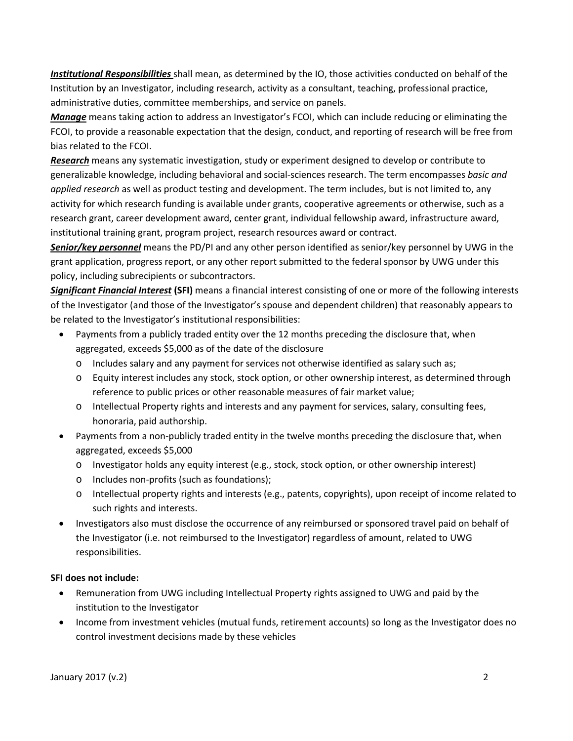*Institutional Responsibilities* shall mean, as determined by the IO, those activities conducted on behalf of the Institution by an Investigator, including research, activity as a consultant, teaching, professional practice, administrative duties, committee memberships, and service on panels.

*Manage* means taking action to address an Investigator's FCOI, which can include reducing or eliminating the FCOI, to provide a reasonable expectation that the design, conduct, and reporting of research will be free from bias related to the FCOI.

*Research* means any systematic investigation, study or experiment designed to develop or contribute to generalizable knowledge, including behavioral and social‐sciences research. The term encompasses *basic and applied research* as well as product testing and development. The term includes, but is not limited to, any activity for which research funding is available under grants, cooperative agreements or otherwise, such as a research grant, career development award, center grant, individual fellowship award, infrastructure award, institutional training grant, program project, research resources award or contract.

*Senior/key personnel* means the PD/PI and any other person identified as senior/key personnel by UWG in the grant application, progress report, or any other report submitted to the federal sponsor by UWG under this policy, including subrecipients or subcontractors.

*Significant Financial Interest* **(SFI)** means a financial interest consisting of one or more of the following interests of the Investigator (and those of the Investigator's spouse and dependent children) that reasonably appears to be related to the Investigator's institutional responsibilities:

- Payments from a publicly traded entity over the 12 months preceding the disclosure that, when aggregated, exceeds \$5,000 as of the date of the disclosure
	- o Includes salary and any payment for services not otherwise identified as salary such as;
	- o Equity interest includes any stock, stock option, or other ownership interest, as determined through reference to public prices or other reasonable measures of fair market value;
	- o Intellectual Property rights and interests and any payment for services, salary, consulting fees, honoraria, paid authorship.
- Payments from a non-publicly traded entity in the twelve months preceding the disclosure that, when aggregated, exceeds \$5,000
	- o Investigator holds any equity interest (e.g., stock, stock option, or other ownership interest)
	- o Includes non-profits (such as foundations);
	- o Intellectual property rights and interests (e.g., patents, copyrights), upon receipt of income related to such rights and interests.
- Investigators also must disclose the occurrence of any reimbursed or sponsored travel paid on behalf of the Investigator (i.e. not reimbursed to the Investigator) regardless of amount, related to UWG responsibilities.

#### **SFI does not include:**

- Remuneration from UWG including Intellectual Property rights assigned to UWG and paid by the institution to the Investigator
- Income from investment vehicles (mutual funds, retirement accounts) so long as the Investigator does no control investment decisions made by these vehicles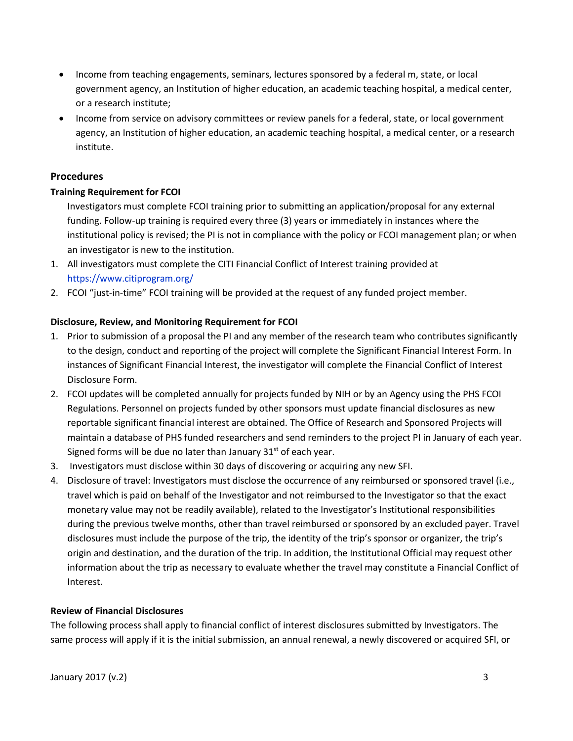- Income from teaching engagements, seminars, lectures sponsored by a federal m, state, or local government agency, an Institution of higher education, an academic teaching hospital, a medical center, or a research institute;
- Income from service on advisory committees or review panels for a federal, state, or local government agency, an Institution of higher education, an academic teaching hospital, a medical center, or a research institute.

## **Procedures**

### **Training Requirement for FCOI**

Investigators must complete FCOI training prior to submitting an application/proposal for any external funding. Follow-up training is required every three (3) years or immediately in instances where the institutional policy is revised; the PI is not in compliance with the policy or FCOI management plan; or when an investigator is new to the institution.

- 1. All investigators must complete the CITI Financial Conflict of Interest training provided at <https://www.citiprogram.org/>
- 2. FCOI "just-in-time" FCOI training will be provided at the request of any funded project member.

## **Disclosure, Review, and Monitoring Requirement for FCOI**

- 1. Prior to submission of a proposal the PI and any member of the research team who contributes significantly to the design, conduct and reporting of the project will complete the Significant Financial Interest Form. In instances of Significant Financial Interest, the investigator will complete the Financial Conflict of Interest Disclosure Form.
- 2. FCOI updates will be completed annually for projects funded by NIH or by an Agency using the PHS FCOI Regulations. Personnel on projects funded by other sponsors must update financial disclosures as new reportable significant financial interest are obtained. The Office of Research and Sponsored Projects will maintain a database of PHS funded researchers and send reminders to the project PI in January of each year. Signed forms will be due no later than January  $31^{st}$  of each year.
- 3. Investigators must disclose within 30 days of discovering or acquiring any new SFI.
- 4. Disclosure of travel: Investigators must disclose the occurrence of any reimbursed or sponsored travel (i.e., travel which is paid on behalf of the Investigator and not reimbursed to the Investigator so that the exact monetary value may not be readily available), related to the Investigator's Institutional responsibilities during the previous twelve months, other than travel reimbursed or sponsored by an excluded payer. Travel disclosures must include the purpose of the trip, the identity of the trip's sponsor or organizer, the trip's origin and destination, and the duration of the trip. In addition, the Institutional Official may request other information about the trip as necessary to evaluate whether the travel may constitute a Financial Conflict of Interest.

#### **Review of Financial Disclosures**

The following process shall apply to financial conflict of interest disclosures submitted by Investigators. The same process will apply if it is the initial submission, an annual renewal, a newly discovered or acquired SFI, or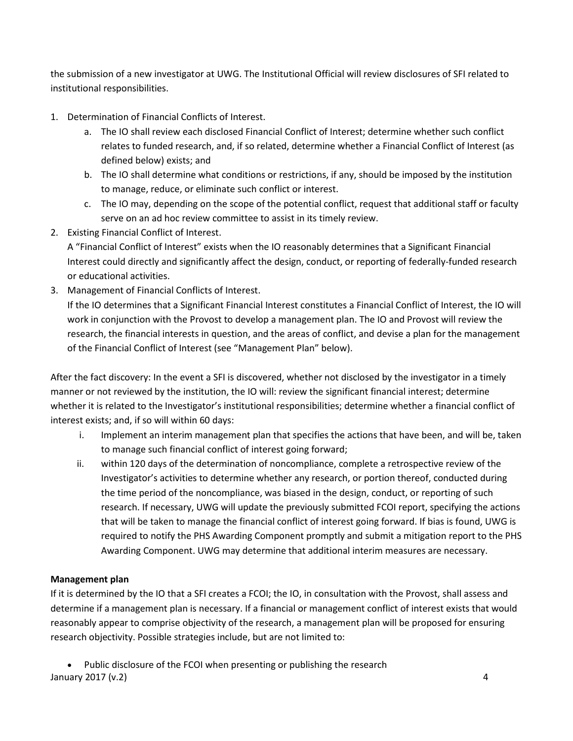the submission of a new investigator at UWG. The Institutional Official will review disclosures of SFI related to institutional responsibilities.

- 1. Determination of Financial Conflicts of Interest.
	- a. The IO shall review each disclosed Financial Conflict of Interest; determine whether such conflict relates to funded research, and, if so related, determine whether a Financial Conflict of Interest (as defined below) exists; and
	- b. The IO shall determine what conditions or restrictions, if any, should be imposed by the institution to manage, reduce, or eliminate such conflict or interest.
	- c. The IO may, depending on the scope of the potential conflict, request that additional staff or faculty serve on an ad hoc review committee to assist in its timely review.
- 2. Existing Financial Conflict of Interest.

A "Financial Conflict of Interest" exists when the IO reasonably determines that a Significant Financial Interest could directly and significantly affect the design, conduct, or reporting of federally-funded research or educational activities.

3. Management of Financial Conflicts of Interest.

If the IO determines that a Significant Financial Interest constitutes a Financial Conflict of Interest, the IO will work in conjunction with the Provost to develop a management plan. The IO and Provost will review the research, the financial interests in question, and the areas of conflict, and devise a plan for the management of the Financial Conflict of Interest (see "Management Plan" below).

After the fact discovery: In the event a SFI is discovered, whether not disclosed by the investigator in a timely manner or not reviewed by the institution, the IO will: review the significant financial interest; determine whether it is related to the Investigator's institutional responsibilities; determine whether a financial conflict of interest exists; and, if so will within 60 days:

- i. Implement an interim management plan that specifies the actions that have been, and will be, taken to manage such financial conflict of interest going forward;
- ii. within 120 days of the determination of noncompliance, complete a retrospective review of the Investigator's activities to determine whether any research, or portion thereof, conducted during the time period of the noncompliance, was biased in the design, conduct, or reporting of such research. If necessary, UWG will update the previously submitted FCOI report, specifying the actions that will be taken to manage the financial conflict of interest going forward. If bias is found, UWG is required to notify the PHS Awarding Component promptly and submit a mitigation report to the PHS Awarding Component. UWG may determine that additional interim measures are necessary.

## **Management plan**

If it is determined by the IO that a SFI creates a FCOI; the IO, in consultation with the Provost, shall assess and determine if a management plan is necessary. If a financial or management conflict of interest exists that would reasonably appear to comprise objectivity of the research, a management plan will be proposed for ensuring research objectivity. Possible strategies include, but are not limited to:

January 2017 (v.2) 4 • Public disclosure of the FCOI when presenting or publishing the research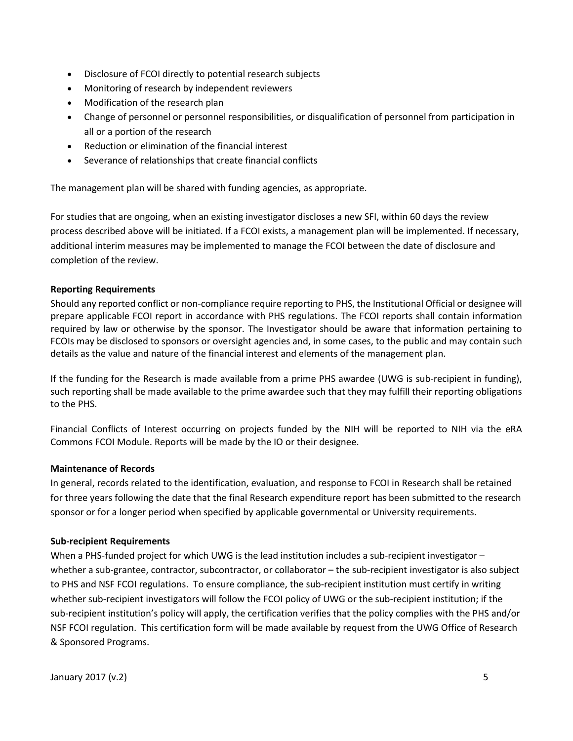- Disclosure of FCOI directly to potential research subjects
- Monitoring of research by independent reviewers
- Modification of the research plan
- Change of personnel or personnel responsibilities, or disqualification of personnel from participation in all or a portion of the research
- Reduction or elimination of the financial interest
- Severance of relationships that create financial conflicts

The management plan will be shared with funding agencies, as appropriate.

For studies that are ongoing, when an existing investigator discloses a new SFI, within 60 days the review process described above will be initiated. If a FCOI exists, a management plan will be implemented. If necessary, additional interim measures may be implemented to manage the FCOI between the date of disclosure and completion of the review.

#### **Reporting Requirements**

Should any reported conflict or non-compliance require reporting to PHS, the Institutional Official or designee will prepare applicable FCOI report in accordance with PHS regulations. The FCOI reports shall contain information required by law or otherwise by the sponsor. The Investigator should be aware that information pertaining to FCOIs may be disclosed to sponsors or oversight agencies and, in some cases, to the public and may contain such details as the value and nature of the financial interest and elements of the management plan.

If the funding for the Research is made available from a prime PHS awardee (UWG is sub-recipient in funding), such reporting shall be made available to the prime awardee such that they may fulfill their reporting obligations to the PHS.

Financial Conflicts of Interest occurring on projects funded by the NIH will be reported to NIH via the eRA Commons FCOI Module. Reports will be made by the IO or their designee.

#### **Maintenance of Records**

In general, records related to the identification, evaluation, and response to FCOI in Research shall be retained for three years following the date that the final Research expenditure report has been submitted to the research sponsor or for a longer period when specified by applicable governmental or University requirements.

#### **Sub-recipient Requirements**

When a PHS-funded project for which UWG is the lead institution includes a sub-recipient investigator whether a sub-grantee, contractor, subcontractor, or collaborator – the sub-recipient investigator is also subject to PHS and NSF FCOI regulations. To ensure compliance, the sub-recipient institution must certify in writing whether sub-recipient investigators will follow the FCOI policy of UWG or the sub-recipient institution; if the sub-recipient institution's policy will apply, the certification verifies that the policy complies with the PHS and/or NSF FCOI regulation. This certification form will be made available by request from the UWG Office of Research & Sponsored Programs.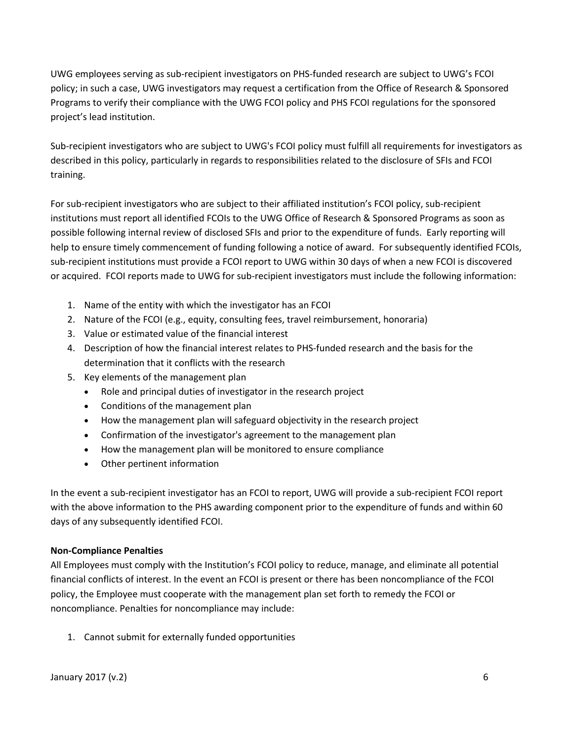UWG employees serving as sub-recipient investigators on PHS-funded research are subject to UWG's FCOI policy; in such a case, UWG investigators may request a certification from the Office of Research & Sponsored Programs to verify their compliance with the UWG FCOI policy and PHS FCOI regulations for the sponsored project's lead institution.

Sub-recipient investigators who are subject to UWG's FCOI policy must fulfill all requirements for investigators as described in this policy, particularly in regards to responsibilities related to the disclosure of SFIs and FCOI training.

For sub-recipient investigators who are subject to their affiliated institution's FCOI policy, sub-recipient institutions must report all identified FCOIs to the UWG Office of Research & Sponsored Programs as soon as possible following internal review of disclosed SFIs and prior to the expenditure of funds. Early reporting will help to ensure timely commencement of funding following a notice of award. For subsequently identified FCOIs, sub-recipient institutions must provide a FCOI report to UWG within 30 days of when a new FCOI is discovered or acquired. FCOI reports made to UWG for sub-recipient investigators must include the following information:

- 1. Name of the entity with which the investigator has an FCOI
- 2. Nature of the FCOI (e.g., equity, consulting fees, travel reimbursement, honoraria)
- 3. Value or estimated value of the financial interest
- 4. Description of how the financial interest relates to PHS-funded research and the basis for the determination that it conflicts with the research
- 5. Key elements of the management plan
	- Role and principal duties of investigator in the research project
	- Conditions of the management plan
	- How the management plan will safeguard objectivity in the research project
	- Confirmation of the investigator's agreement to the management plan
	- How the management plan will be monitored to ensure compliance
	- Other pertinent information

In the event a sub-recipient investigator has an FCOI to report, UWG will provide a sub-recipient FCOI report with the above information to the PHS awarding component prior to the expenditure of funds and within 60 days of any subsequently identified FCOI.

## **Non-Compliance Penalties**

All Employees must comply with the Institution's FCOI policy to reduce, manage, and eliminate all potential financial conflicts of interest. In the event an FCOI is present or there has been noncompliance of the FCOI policy, the Employee must cooperate with the management plan set forth to remedy the FCOI or noncompliance. Penalties for noncompliance may include:

1. Cannot submit for externally funded opportunities